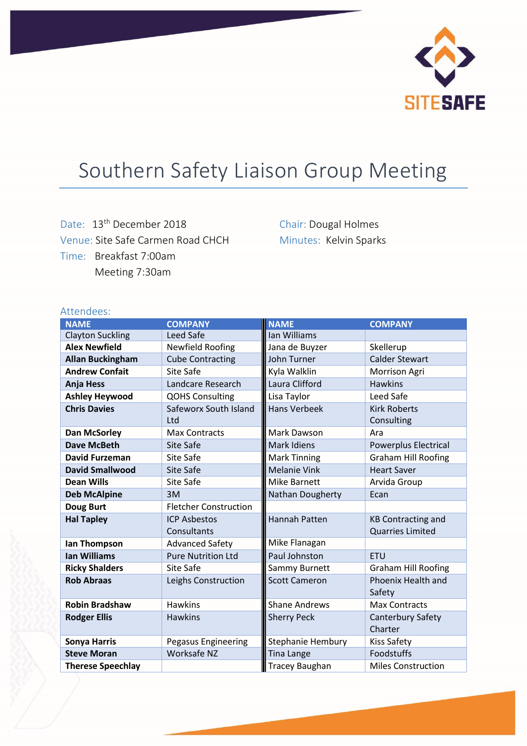

## Southern Safety Liaison Group Meeting

Date: 13<sup>th</sup> December 2018 Venue: Site Safe Carmen Road CHCH Time: Breakfast 7:00am Meeting 7:30am

Chair: Dougal Holmes Minutes: Kelvin Sparks

| Attendees:               |                              |                       |                              |
|--------------------------|------------------------------|-----------------------|------------------------------|
| <b>NAME</b>              | <b>COMPANY</b>               | <b>NAME</b>           | <b>COMPANY</b>               |
| <b>Clayton Suckling</b>  | Leed Safe                    | Ian Williams          |                              |
| <b>Alex Newfield</b>     | Newfield Roofing             | Jana de Buyzer        | Skellerup                    |
| <b>Allan Buckingham</b>  | <b>Cube Contracting</b>      | John Turner           | <b>Calder Stewart</b>        |
| <b>Andrew Confait</b>    | Site Safe                    | Kyla Walklin          | Morrison Agri                |
| <b>Anja Hess</b>         | Landcare Research            | Laura Clifford        | <b>Hawkins</b>               |
| <b>Ashley Heywood</b>    | <b>QOHS Consulting</b>       | Lisa Taylor           | Leed Safe                    |
| <b>Chris Davies</b>      | Safeworx South Island        | <b>Hans Verbeek</b>   | <b>Kirk Roberts</b>          |
|                          | Ltd                          |                       | Consulting                   |
| <b>Dan McSorley</b>      | <b>Max Contracts</b>         | <b>Mark Dawson</b>    | Ara                          |
| Dave McBeth              | <b>Site Safe</b>             | Mark Idiens           | <b>Powerplus Electrical</b>  |
| <b>David Furzeman</b>    | Site Safe                    | <b>Mark Tinning</b>   | <b>Graham Hill Roofing</b>   |
| <b>David Smallwood</b>   | Site Safe                    | <b>Melanie Vink</b>   | <b>Heart Saver</b>           |
| <b>Dean Wills</b>        | Site Safe                    | <b>Mike Barnett</b>   | Arvida Group                 |
| <b>Deb McAlpine</b>      | 3M                           | Nathan Dougherty      | Ecan                         |
| <b>Doug Burt</b>         | <b>Fletcher Construction</b> |                       |                              |
| <b>Hal Tapley</b>        | <b>ICP Asbestos</b>          | Hannah Patten         | <b>KB Contracting and</b>    |
|                          | Consultants                  |                       | <b>Quarries Limited</b>      |
| lan Thompson             | <b>Advanced Safety</b>       | Mike Flanagan         |                              |
| <b>Ian Williams</b>      | <b>Pure Nutrition Ltd</b>    | Paul Johnston         | <b>ETU</b>                   |
| <b>Ricky Shalders</b>    | Site Safe                    | Sammy Burnett         | <b>Graham Hill Roofing</b>   |
| <b>Rob Abraas</b>        | Leighs Construction          | <b>Scott Cameron</b>  | Phoenix Health and<br>Safety |
| <b>Robin Bradshaw</b>    | <b>Hawkins</b>               | <b>Shane Andrews</b>  | <b>Max Contracts</b>         |
| <b>Rodger Ellis</b>      | <b>Hawkins</b>               | <b>Sherry Peck</b>    | Canterbury Safety<br>Charter |
| <b>Sonya Harris</b>      | <b>Pegasus Engineering</b>   | Stephanie Hembury     | <b>Kiss Safety</b>           |
| <b>Steve Moran</b>       | Worksafe NZ                  | <b>Tina Lange</b>     | Foodstuffs                   |
| <b>Therese Speechlay</b> |                              | <b>Tracey Baughan</b> | <b>Miles Construction</b>    |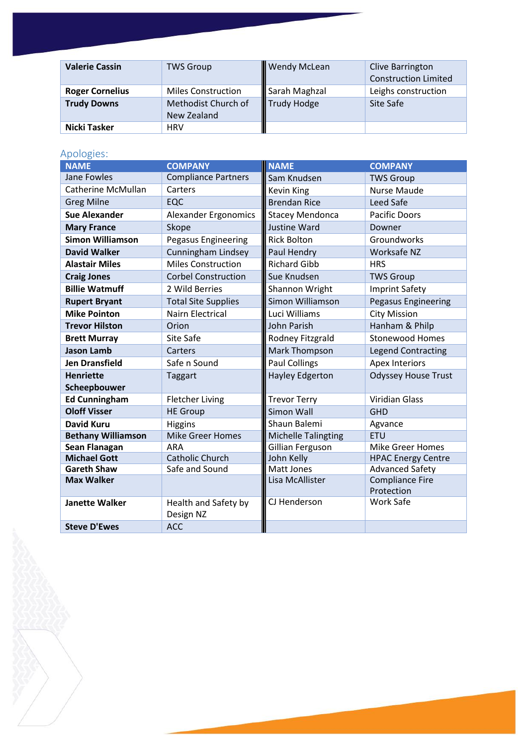| <b>Valerie Cassin</b>  | <b>TWS Group</b>                   | Wendy McLean  | Clive Barrington<br><b>Construction Limited</b> |
|------------------------|------------------------------------|---------------|-------------------------------------------------|
| <b>Roger Cornelius</b> | <b>Miles Construction</b>          | Sarah Maghzal | Leighs construction                             |
| <b>Trudy Downs</b>     | Methodist Church of<br>New Zealand | Trudy Hodge   | Site Safe                                       |
| Nicki Tasker           | <b>HRV</b>                         |               |                                                 |

## Apologies:

| <b>NAME</b>               | <b>COMPANY</b>              | <b>NAME</b>                | <b>COMPANY</b>                       |
|---------------------------|-----------------------------|----------------------------|--------------------------------------|
| Jane Fowles               | <b>Compliance Partners</b>  | Sam Knudsen                | <b>TWS Group</b>                     |
| Catherine McMullan        | Carters                     | <b>Kevin King</b>          | <b>Nurse Maude</b>                   |
| <b>Greg Milne</b>         | EQC                         | <b>Brendan Rice</b>        | Leed Safe                            |
| <b>Sue Alexander</b>      | <b>Alexander Ergonomics</b> | <b>Stacey Mendonca</b>     | <b>Pacific Doors</b>                 |
| <b>Mary France</b>        | Skope                       | <b>Justine Ward</b>        | Downer                               |
| <b>Simon Williamson</b>   | <b>Pegasus Engineering</b>  | <b>Rick Bolton</b>         | Groundworks                          |
| <b>David Walker</b>       | Cunningham Lindsey          | Paul Hendry                | Worksafe NZ                          |
| <b>Alastair Miles</b>     | <b>Miles Construction</b>   | <b>Richard Gibb</b>        | <b>HRS</b>                           |
| <b>Craig Jones</b>        | <b>Corbel Construction</b>  | Sue Knudsen                | <b>TWS Group</b>                     |
| <b>Billie Watmuff</b>     | 2 Wild Berries              | Shannon Wright             | <b>Imprint Safety</b>                |
| <b>Rupert Bryant</b>      | <b>Total Site Supplies</b>  | Simon Williamson           | <b>Pegasus Engineering</b>           |
| <b>Mike Pointon</b>       | <b>Nairn Electrical</b>     | Luci Williams              | <b>City Mission</b>                  |
| <b>Trevor Hilston</b>     | Orion                       | John Parish                | Hanham & Philp                       |
| <b>Brett Murray</b>       | Site Safe                   | Rodney Fitzgrald           | <b>Stonewood Homes</b>               |
| <b>Jason Lamb</b>         | Carters                     | Mark Thompson              | <b>Legend Contracting</b>            |
| <b>Jen Dransfield</b>     | Safe n Sound                | <b>Paul Collings</b>       | <b>Apex Interiors</b>                |
| <b>Henriette</b>          | Taggart                     | <b>Hayley Edgerton</b>     | <b>Odyssey House Trust</b>           |
| Scheepbouwer              |                             |                            |                                      |
| <b>Ed Cunningham</b>      | <b>Fletcher Living</b>      | <b>Trevor Terry</b>        | <b>Viridian Glass</b>                |
| <b>Oloff Visser</b>       | <b>HE Group</b>             | Simon Wall                 | <b>GHD</b>                           |
| <b>David Kuru</b>         | <b>Higgins</b>              | Shaun Balemi               | Agvance                              |
| <b>Bethany Williamson</b> | <b>Mike Greer Homes</b>     | <b>Michelle Talingting</b> | <b>ETU</b>                           |
| Sean Flanagan             | <b>ARA</b>                  | Gillian Ferguson           | <b>Mike Greer Homes</b>              |
| <b>Michael Gott</b>       | <b>Catholic Church</b>      | John Kelly                 | <b>HPAC Energy Centre</b>            |
| <b>Gareth Shaw</b>        | Safe and Sound              | Matt Jones                 | <b>Advanced Safety</b>               |
| <b>Max Walker</b>         |                             | Lisa McAllister            | <b>Compliance Fire</b><br>Protection |
| <b>Janette Walker</b>     | Health and Safety by        | CJ Henderson               | <b>Work Safe</b>                     |
|                           | Design NZ                   |                            |                                      |
| <b>Steve D'Ewes</b>       | <b>ACC</b>                  |                            |                                      |
|                           |                             |                            |                                      |